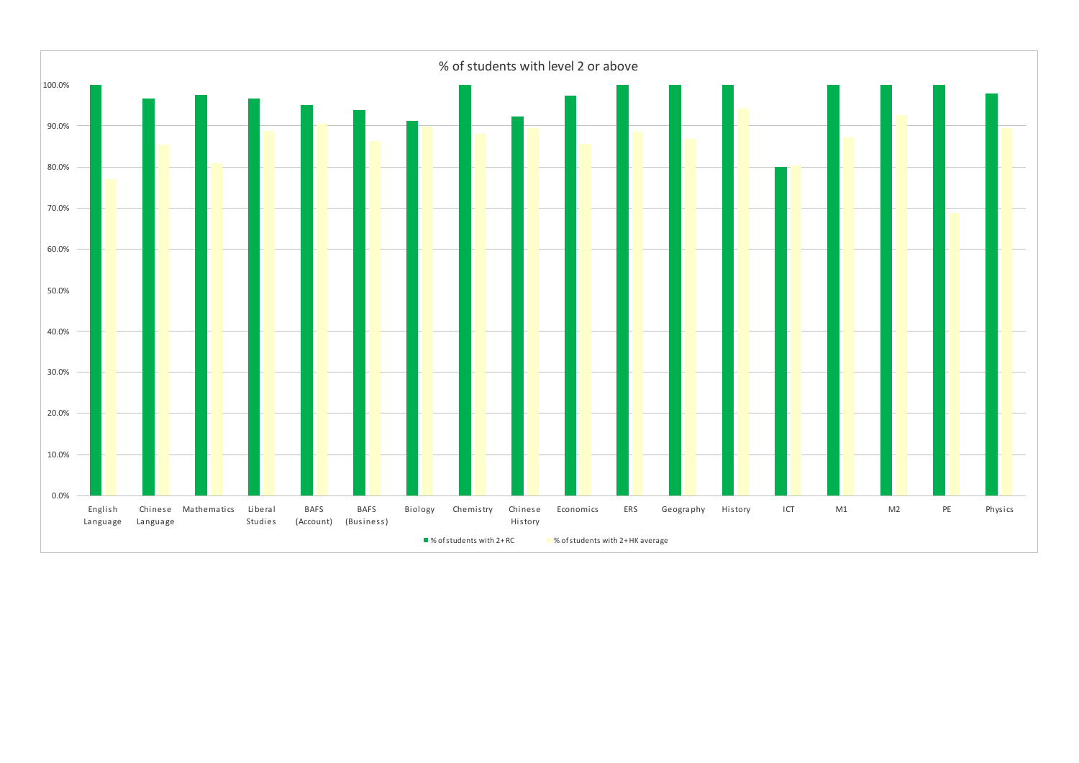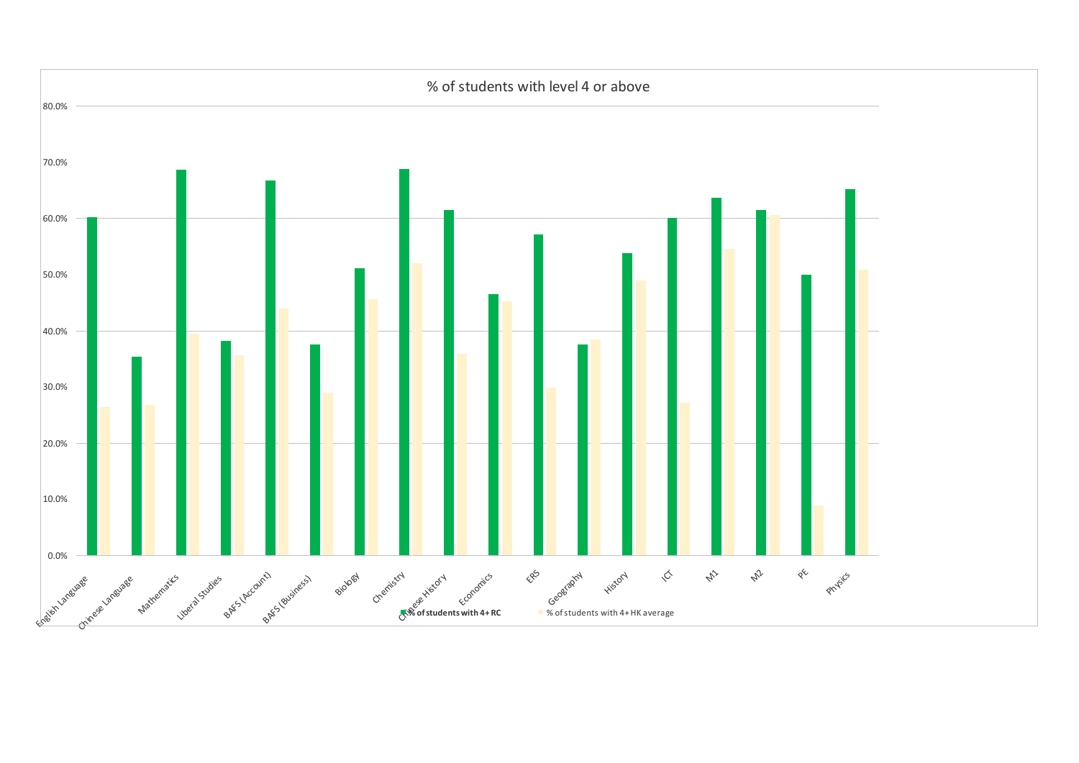